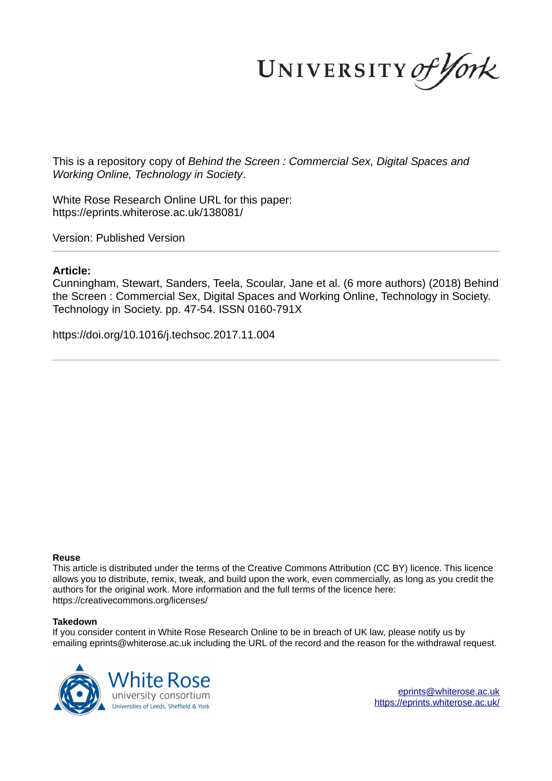UNIVERSITY of York

This is a repository copy of *Behind the Screen : Commercial Sex, Digital Spaces and Working Online, Technology in Society*.

White Rose Research Online URL for this paper: https://eprints.whiterose.ac.uk/138081/

Version: Published Version

# **Article:**

Cunningham, Stewart, Sanders, Teela, Scoular, Jane et al. (6 more authors) (2018) Behind the Screen : Commercial Sex, Digital Spaces and Working Online, Technology in Society. Technology in Society. pp. 47-54. ISSN 0160-791X

https://doi.org/10.1016/j.techsoc.2017.11.004

# **Reuse**

This article is distributed under the terms of the Creative Commons Attribution (CC BY) licence. This licence allows you to distribute, remix, tweak, and build upon the work, even commercially, as long as you credit the authors for the original work. More information and the full terms of the licence here: https://creativecommons.org/licenses/

# **Takedown**

If you consider content in White Rose Research Online to be in breach of UK law, please notify us by emailing eprints@whiterose.ac.uk including the URL of the record and the reason for the withdrawal request.

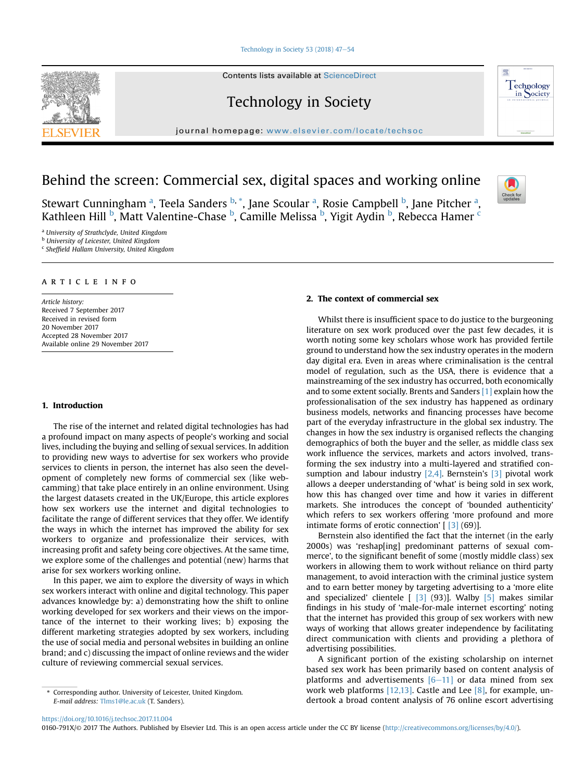#### Technology in Society 53 (2018)  $47-54$

Contents lists available at ScienceDirect

Technology in Society

journal homepage: www.elsevier.com/locate/techsoc



Stewart Cunningham <sup>a</sup>, Teela Sanders <sup>b, \*</sup>, Jane Scoular <sup>a</sup>, Rosie Campbell <sup>b</sup>, Jane Pitcher <sup>a</sup>, Kathleen Hill <sup>b</sup>, Matt Valentine-Chase <sup>b</sup>, Camille Melissa <sup>b</sup>, Yigit Aydin <sup>b</sup>, Rebecca Hamer <sup>c</sup>

<sup>a</sup> *University of Strathclyde, United Kingdom*

<sup>b</sup> *University of Leicester, United Kingdom*

c *Shef*fi*eld Hallam University, United Kingdom*

## article info

*Article history:* Received 7 September 2017 Received in revised form 20 November 2017 Accepted 28 November 2017 Available online 29 November 2017

#### 1. Introduction

The rise of the internet and related digital technologies has had a profound impact on many aspects of people's working and social lives, including the buying and selling of sexual services. In addition to providing new ways to advertise for sex workers who provide services to clients in person, the internet has also seen the development of completely new forms of commercial sex (like webcamming) that take place entirely in an online environment. Using the largest datasets created in the UK/Europe, this article explores how sex workers use the internet and digital technologies to facilitate the range of different services that they offer. We identify the ways in which the internet has improved the ability for sex workers to organize and professionalize their services, with increasing profit and safety being core objectives. At the same time, we explore some of the challenges and potential (new) harms that arise for sex workers working online.

In this paper, we aim to explore the diversity of ways in which sex workers interact with online and digital technology. This paper advances knowledge by: a) demonstrating how the shift to online working developed for sex workers and their views on the importance of the internet to their working lives; b) exposing the different marketing strategies adopted by sex workers, including the use of social media and personal websites in building an online brand; and c) discussing the impact of online reviews and the wider culture of reviewing commercial sexual services.

# *E-mail address:* Tlms1@le.ac.uk (T. Sanders).

# 2. The context of commercial sex

Whilst there is insufficient space to do justice to the burgeoning literature on sex work produced over the past few decades, it is worth noting some key scholars whose work has provided fertile ground to understand how the sex industry operates in the modern day digital era. Even in areas where criminalisation is the central model of regulation, such as the USA, there is evidence that a mainstreaming of the sex industry has occurred, both economically and to some extent socially. Brents and Sanders [1] explain how the professionalisation of the sex industry has happened as ordinary business models, networks and financing processes have become part of the everyday infrastructure in the global sex industry. The changes in how the sex industry is organised reflects the changing demographics of both the buyer and the seller, as middle class sex work influence the services, markets and actors involved, transforming the sex industry into a multi-layered and stratified consumption and labour industry  $[2,4]$ . Bernstein's  $[3]$  pivotal work allows a deeper understanding of 'what' is being sold in sex work, how this has changed over time and how it varies in different markets. She introduces the concept of 'bounded authenticity' which refers to sex workers offering 'more profound and more intimate forms of erotic connection'  $[3]$  (69)].

Bernstein also identified the fact that the internet (in the early 2000s) was 'reshap[ing] predominant patterns of sexual commerce', to the significant benefit of some (mostly middle class) sex workers in allowing them to work without reliance on third party management, to avoid interaction with the criminal justice system and to earn better money by targeting advertising to a 'more elite and specialized' clientele [ [3] (93)]. Walby [5] makes similar findings in his study of 'male-for-male internet escorting' noting that the internet has provided this group of sex workers with new ways of working that allows greater independence by facilitating direct communication with clients and providing a plethora of advertising possibilities.

A significant portion of the existing scholarship on internet based sex work has been primarily based on content analysis of platforms and advertisements  $[6-11]$  or data mined from sex work web platforms [12,13]. Castle and Lee  $[8]$ , for example, undertook a broad content analysis of 76 online escort advertising

0160-791X/© 2017 The Authors. Published by Elsevier Ltd. This is an open access article under the CC BY license (http://creativecommons.org/licenses/by/4.0/).







Corresponding author. University of Leicester, United Kingdom.

https://doi.org/10.1016/j.techsoc.2017.11.004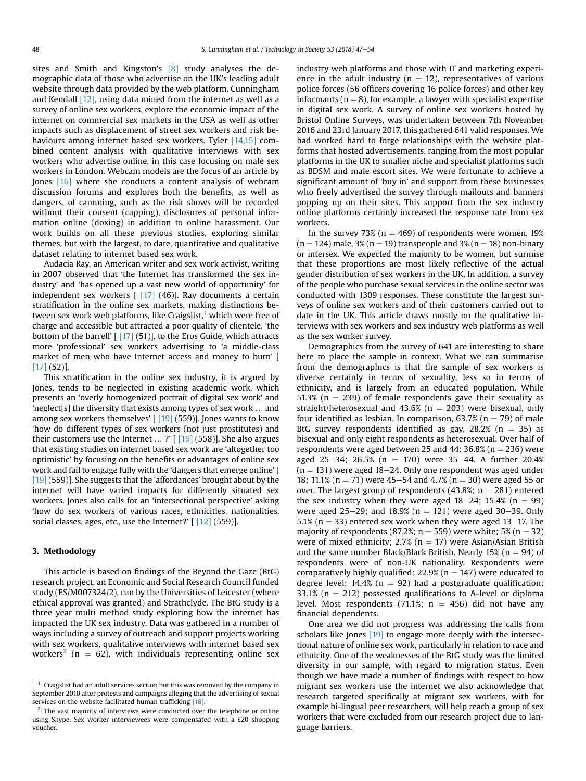sites and Smith and Kingston's [8] study analyses the demographic data of those who advertise on the UK's leading adult website through data provided by the web platform. Cunningham and Kendall [12], using data mined from the internet as well as a survey of online sex workers, explore the economic impact of the internet on commercial sex markets in the USA as well as other impacts such as displacement of street sex workers and risk behaviours among internet based sex workers. Tyler [14,15] combined content analysis with qualitative interviews with sex workers who advertise online, in this case focusing on male sex workers in London. Webcam models are the focus of an article by Jones [16] where she conducts a content analysis of webcam discussion forums and explores both the benefits, as well as dangers, of camming, such as the risk shows will be recorded without their consent (capping), disclosures of personal information online (doxing) in addition to online harassment. Our work builds on all these previous studies, exploring similar themes, but with the largest, to date, quantitative and qualitative dataset relating to internet based sex work.

Audacia Ray, an American writer and sex work activist, writing in 2007 observed that 'the Internet has transformed the sex industry' and 'has opened up a vast new world of opportunity' for independent sex workers  $[17] (46)$ ]. Ray documents a certain stratification in the online sex markets, making distinctions between sex work web platforms, like Craigslist,<sup>1</sup> which were free of charge and accessible but attracted a poor quality of clientele, 'the bottom of the barrell'  $[17]$  (51)], to the Eros Guide, which attracts more 'professional' sex workers advertising to 'a middle-class market of men who have Internet access and money to burn' [ [17] (52)].

This stratification in the online sex industry, it is argued by Jones, tends to be neglected in existing academic work, which presents an 'overly homogenized portrait of digital sex work' and 'neglect[s] the diversity that exists among types of sex work … and among sex workers themselves'  $\lceil$  [19] (559)]. Jones wants to know 'how do different types of sex workers (not just prostitutes) and their customers use the Internet  $\ldots$  ?' [ [19] (558)]. She also argues that existing studies on internet based sex work are 'altogether too optimistic' by focusing on the benefits or advantages of online sex work and fail to engage fully with the 'dangers that emerge online' [ [19] (559)]. She suggests that the 'affordances' brought about by the internet will have varied impacts for differently situated sex workers. Jones also calls for an 'intersectional perspective' asking 'how do sex workers of various races, ethnicities, nationalities, social classes, ages, etc., use the Internet?' [ [12] (559)].

#### 3. Methodology

This article is based on findings of the Beyond the Gaze (BtG) research project, an Economic and Social Research Council funded study (ES/M007324/2), run by the Universities of Leicester (where ethical approval was granted) and Strathclyde. The BtG study is a three year multi method study exploring how the internet has impacted the UK sex industry. Data was gathered in a number of ways including a survey of outreach and support projects working with sex workers, qualitative interviews with internet based sex workers<sup>2</sup> (n = 62), with individuals representing online sex

industry web platforms and those with IT and marketing experience in the adult industry ( $n = 12$ ), representatives of various police forces (56 officers covering 16 police forces) and other key informants ( $n = 8$ ), for example, a lawyer with specialist expertise in digital sex work. A survey of online sex workers hosted by Bristol Online Surveys, was undertaken between 7th November 2016 and 23rd January 2017, this gathered 641 valid responses. We had worked hard to forge relationships with the website platforms that hosted advertisements, ranging from the most popular platforms in the UK to smaller niche and specialist platforms such as BDSM and male escort sites. We were fortunate to achieve a significant amount of 'buy in' and support from these businesses who freely advertised the survey through mailouts and banners popping up on their sites. This support from the sex industry online platforms certainly increased the response rate from sex workers.

In the survey 73% ( $n = 469$ ) of respondents were women, 19%  $(n = 124)$  male, 3%  $(n = 19)$  transpeople and 3%  $(n = 18)$  non-binary or intersex. We expected the majority to be women, but surmise that these proportions are most likely reflective of the actual gender distribution of sex workers in the UK. In addition, a survey of the people who purchase sexual services in the online sector was conducted with 1309 responses. These constitute the largest surveys of online sex workers and of their customers carried out to date in the UK. This article draws mostly on the qualitative interviews with sex workers and sex industry web platforms as well as the sex worker survey.

Demographics from the survey of 641 are interesting to share here to place the sample in context. What we can summarise from the demographics is that the sample of sex workers is diverse certainly in terms of sexuality, less so in terms of ethnicity, and is largely from an educated population. While 51.3% ( $n = 239$ ) of female respondents gave their sexuality as straight/heterosexual and 43.6% ( $n = 203$ ) were bisexual, only four identified as lesbian. In comparison, 63.7% ( $n = 79$ ) of male BtG survey respondents identified as gay,  $28.2\%$  (n = 35) as bisexual and only eight respondents as heterosexual. Over half of respondents were aged between 25 and 44:  $36.8\%$  (n = 236) were aged 25-34; 26.5% (n = 170) were 35-44. A further 20.4%  $(n = 131)$  were aged 18–24. Only one respondent was aged under 18; 11.1% (n = 71) were 45–54 and 4.7% (n = 30) were aged 55 or over. The largest group of respondents (43.8%;  $n = 281$ ) entered the sex industry when they were aged  $18-24$ ;  $15.4%$  (n = 99) were aged 25–29; and 18.9% ( $n = 121$ ) were aged 30–39. Only 5.1% ( $n = 33$ ) entered sex work when they were aged 13–17. The majority of respondents (87.2%;  $n = 559$ ) were white; 5% ( $n = 32$ ) were of mixed ethnicity; 2.7% ( $n = 17$ ) were Asian/Asian British and the same number Black/Black British. Nearly 15% ( $n = 94$ ) of respondents were of non-UK nationality. Respondents were comparatively highly qualified:  $22.9\%$  (n = 147) were educated to degree level; 14.4% ( $n = 92$ ) had a postgraduate qualification; 33.1% ( $n = 212$ ) possessed qualifications to A-level or diploma level. Most respondents (71.1%;  $n = 456$ ) did not have any financial dependents.

One area we did not progress was addressing the calls from scholars like Jones [19] to engage more deeply with the intersectional nature of online sex work, particularly in relation to race and ethnicity. One of the weaknesses of the BtG study was the limited diversity in our sample, with regard to migration status. Even though we have made a number of findings with respect to how migrant sex workers use the internet we also acknowledge that research targeted specifically at migrant sex workers, with for example bi-lingual peer researchers, will help reach a group of sex workers that were excluded from our research project due to language barriers.

 $1$  Craigslist had an adult services section but this was removed by the company in September 2010 after protests and campaigns alleging that the advertising of sexual services on the website facilitated human trafficking [18].

 $2$  The vast majority of interviews were conducted over the telephone or online using Skype. Sex worker interviewees were compensated with a £20 shopping voucher.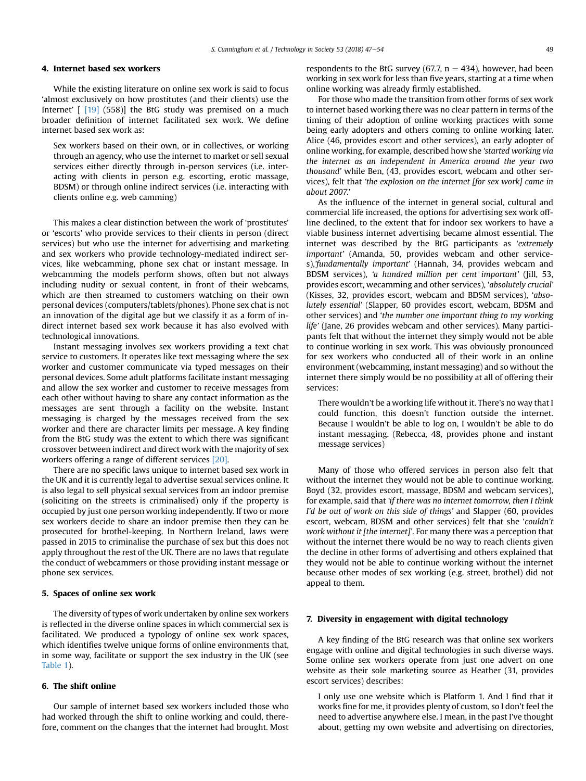#### 4. Internet based sex workers

While the existing literature on online sex work is said to focus 'almost exclusively on how prostitutes (and their clients) use the Internet' [ [19] (558)] the BtG study was premised on a much broader definition of internet facilitated sex work. We define internet based sex work as:

Sex workers based on their own, or in collectives, or working through an agency, who use the internet to market or sell sexual services either directly through in-person services (i.e. interacting with clients in person e.g. escorting, erotic massage, BDSM) or through online indirect services (i.e. interacting with clients online e.g. web camming)

This makes a clear distinction between the work of 'prostitutes' or 'escorts' who provide services to their clients in person (direct services) but who use the internet for advertising and marketing and sex workers who provide technology-mediated indirect services, like webcamming, phone sex chat or instant message. In webcamming the models perform shows, often but not always including nudity or sexual content, in front of their webcams, which are then streamed to customers watching on their own personal devices (computers/tablets/phones). Phone sex chat is not an innovation of the digital age but we classify it as a form of indirect internet based sex work because it has also evolved with technological innovations.

Instant messaging involves sex workers providing a text chat service to customers. It operates like text messaging where the sex worker and customer communicate via typed messages on their personal devices. Some adult platforms facilitate instant messaging and allow the sex worker and customer to receive messages from each other without having to share any contact information as the messages are sent through a facility on the website. Instant messaging is charged by the messages received from the sex worker and there are character limits per message. A key finding from the BtG study was the extent to which there was significant crossover between indirect and direct work with the majority of sex workers offering a range of different services [20].

There are no specific laws unique to internet based sex work in the UK and it is currently legal to advertise sexual services online. It is also legal to sell physical sexual services from an indoor premise (soliciting on the streets is criminalised) only if the property is occupied by just one person working independently. If two or more sex workers decide to share an indoor premise then they can be prosecuted for brothel-keeping. In Northern Ireland, laws were passed in 2015 to criminalise the purchase of sex but this does not apply throughout the rest of the UK. There are no laws that regulate the conduct of webcammers or those providing instant message or phone sex services.

## 5. Spaces of online sex work

The diversity of types of work undertaken by online sex workers is reflected in the diverse online spaces in which commercial sex is facilitated. We produced a typology of online sex work spaces, which identifies twelve unique forms of online environments that, in some way, facilitate or support the sex industry in the UK (see Table 1).

# 6. The shift online

Our sample of internet based sex workers included those who had worked through the shift to online working and could, therefore, comment on the changes that the internet had brought. Most respondents to the BtG survey (67.7,  $n = 434$ ), however, had been working in sex work for less than five years, starting at a time when online working was already firmly established.

For those who made the transition from other forms of sex work to internet based working there was no clear pattern in terms of the timing of their adoption of online working practices with some being early adopters and others coming to online working later. Alice (46, provides escort and other services), an early adopter of online working, for example, described how she '*started working via the internet as an independent in America around the year two thousand*' while Ben, (43, provides escort, webcam and other services), felt that '*the explosion on the internet [for sex work] came in about 2007*.'

As the influence of the internet in general social, cultural and commercial life increased, the options for advertising sex work offline declined, to the extent that for indoor sex workers to have a viable business internet advertising became almost essential. The internet was described by the BtG participants as '*extremely important*' (Amanda, 50, provides webcam and other services),'*fundamentally important*' (Hannah, 34, provides webcam and BDSM services), '*a hundred million per cent important*' (Jill, 53, provides escort, wecamming and other services), '*absolutely crucial*' (Kisses, 32, provides escort, webcam and BDSM services), '*absolutely essential*' (Slapper, 60 provides escort, webcam, BDSM and other services) and '*the number one important thing to my working life*' (Jane, 26 provides webcam and other services). Many participants felt that without the internet they simply would not be able to continue working in sex work. This was obviously pronounced for sex workers who conducted all of their work in an online environment (webcamming, instant messaging) and so without the internet there simply would be no possibility at all of offering their services:

There wouldn't be a working life without it. There's no way that I could function, this doesn't function outside the internet. Because I wouldn't be able to log on, I wouldn't be able to do instant messaging. (Rebecca, 48, provides phone and instant message services)

Many of those who offered services in person also felt that without the internet they would not be able to continue working. Boyd (32, provides escort, massage, BDSM and webcam services), for example, said that '*if there was no internet tomorrow, then I think I'd be out of work on this side of things*' and Slapper (60, provides escort, webcam, BDSM and other services) felt that she '*couldn't work without it [the internet]*'. For many there was a perception that without the internet there would be no way to reach clients given the decline in other forms of advertising and others explained that they would not be able to continue working without the internet because other modes of sex working (e.g. street, brothel) did not appeal to them.

#### 7. Diversity in engagement with digital technology

A key finding of the BtG research was that online sex workers engage with online and digital technologies in such diverse ways. Some online sex workers operate from just one advert on one website as their sole marketing source as Heather (31, provides escort services) describes:

I only use one website which is Platform 1. And I find that it works fine for me, it provides plenty of custom, so I don't feel the need to advertise anywhere else. I mean, in the past I've thought about, getting my own website and advertising on directories,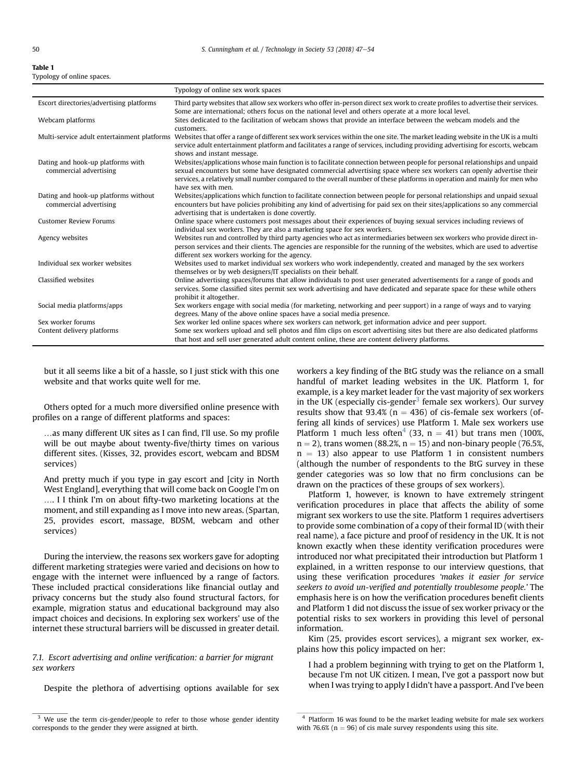| Table 1                    |  |
|----------------------------|--|
| Typology of online spaces. |  |

|                                                                | Typology of online sex work spaces                                                                                                                                                                                                                                                                                                                                                                    |
|----------------------------------------------------------------|-------------------------------------------------------------------------------------------------------------------------------------------------------------------------------------------------------------------------------------------------------------------------------------------------------------------------------------------------------------------------------------------------------|
| Escort directories/advertising platforms                       | Third party websites that allow sex workers who offer in-person direct sex work to create profiles to advertise their services.<br>Some are international; others focus on the national level and others operate at a more local level.                                                                                                                                                               |
| Webcam platforms                                               | Sites dedicated to the facilitation of webcam shows that provide an interface between the webcam models and the<br>customers.                                                                                                                                                                                                                                                                         |
| Multi-service adult entertainment platforms                    | Websites that offer a range of different sex work services within the one site. The market leading website in the UK is a multi<br>service adult entertainment platform and facilitates a range of services, including providing advertising for escorts, webcam<br>shows and instant message.                                                                                                        |
| Dating and hook-up platforms with<br>commercial advertising    | Websites/applications whose main function is to facilitate connection between people for personal relationships and unpaid<br>sexual encounters but some have designated commercial advertising space where sex workers can openly advertise their<br>services, a relatively small number compared to the overall number of these platforms in operation and mainly for men who<br>have sex with men. |
| Dating and hook-up platforms without<br>commercial advertising | Websites/applications which function to facilitate connection between people for personal relationships and unpaid sexual<br>encounters but have policies prohibiting any kind of advertising for paid sex on their sites/applications so any commercial<br>advertising that is undertaken is done covertly.                                                                                          |
| <b>Customer Review Forums</b>                                  | Online space where customers post messages about their experiences of buying sexual services including reviews of<br>individual sex workers. They are also a marketing space for sex workers.                                                                                                                                                                                                         |
| Agency websites                                                | Websites run and controlled by third party agencies who act as intermediaries between sex workers who provide direct in-<br>person services and their clients. The agencies are responsible for the running of the websites, which are used to advertise<br>different sex workers working for the agency.                                                                                             |
| Individual sex worker websites                                 | Websites used to market individual sex workers who work independently, created and managed by the sex workers<br>themselves or by web designers/IT specialists on their behalf.                                                                                                                                                                                                                       |
| Classified websites                                            | Online advertising spaces/forums that allow individuals to post user generated advertisements for a range of goods and<br>services. Some classified sites permit sex work advertising and have dedicated and separate space for these while others<br>prohibit it altogether.                                                                                                                         |
| Social media platforms/apps                                    | Sex workers engage with social media (for marketing, networking and peer support) in a range of ways and to varying<br>degrees. Many of the above online spaces have a social media presence.                                                                                                                                                                                                         |
| Sex worker forums                                              | Sex worker led online spaces where sex workers can network, get information advice and peer support.                                                                                                                                                                                                                                                                                                  |
| Content delivery platforms                                     | Some sex workers upload and sell photos and film clips on escort advertising sites but there are also dedicated platforms<br>that host and sell user generated adult content online, these are content delivery platforms.                                                                                                                                                                            |

but it all seems like a bit of a hassle, so I just stick with this one website and that works quite well for me.

Others opted for a much more diversified online presence with profiles on a range of different platforms and spaces:

…as many different UK sites as I can find, I'll use. So my profile will be out maybe about twenty-five/thirty times on various different sites. (Kisses, 32, provides escort, webcam and BDSM services)

And pretty much if you type in gay escort and [city in North West England], everything that will come back on Google I'm on …. I I think I'm on about fifty-two marketing locations at the moment, and still expanding as I move into new areas. (Spartan, 25, provides escort, massage, BDSM, webcam and other services)

During the interview, the reasons sex workers gave for adopting different marketing strategies were varied and decisions on how to engage with the internet were influenced by a range of factors. These included practical considerations like financial outlay and privacy concerns but the study also found structural factors, for example, migration status and educational background may also impact choices and decisions. In exploring sex workers' use of the internet these structural barriers will be discussed in greater detail.

## *7.1. Escort advertising and online veri*fi*cation: a barrier for migrant sex workers*

Despite the plethora of advertising options available for sex

workers a key finding of the BtG study was the reliance on a small handful of market leading websites in the UK. Platform 1, for example, is a key market leader for the vast majority of sex workers in the UK (especially cis-gender<sup>3</sup> female sex workers). Our survey results show that 93.4% ( $n = 436$ ) of cis-female sex workers (offering all kinds of services) use Platform 1. Male sex workers use Platform 1 much less often<sup>4</sup> (33, n = 41) but trans men (100%,  $n = 2$ ), trans women (88.2%,  $n = 15$ ) and non-binary people (76.5%,  $n = 13$ ) also appear to use Platform 1 in consistent numbers (although the number of respondents to the BtG survey in these gender categories was so low that no firm conclusions can be drawn on the practices of these groups of sex workers).

Platform 1, however, is known to have extremely stringent verification procedures in place that affects the ability of some migrant sex workers to use the site. Platform 1 requires advertisers to provide some combination of a copy of their formal ID (with their real name), a face picture and proof of residency in the UK. It is not known exactly when these identity verification procedures were introduced nor what precipitated their introduction but Platform 1 explained, in a written response to our interview questions, that using these verification procedures '*makes it easier for service seekers to avoid un-veri*fi*ed and potentially troublesome people.*' The emphasis here is on how the verification procedures benefit clients and Platform 1 did not discuss the issue of sex worker privacy or the potential risks to sex workers in providing this level of personal information.

Kim (25, provides escort services), a migrant sex worker, explains how this policy impacted on her:

I had a problem beginning with trying to get on the Platform 1, because I'm not UK citizen. I mean, I've got a passport now but when I was trying to apply I didn't have a passport. And I've been

 $3$  We use the term cis-gender/people to refer to those whose gender identity corresponds to the gender they were assigned at birth.

<sup>&</sup>lt;sup>4</sup> Platform 16 was found to be the market leading website for male sex workers with 76.6% ( $n = 96$ ) of cis male survey respondents using this site.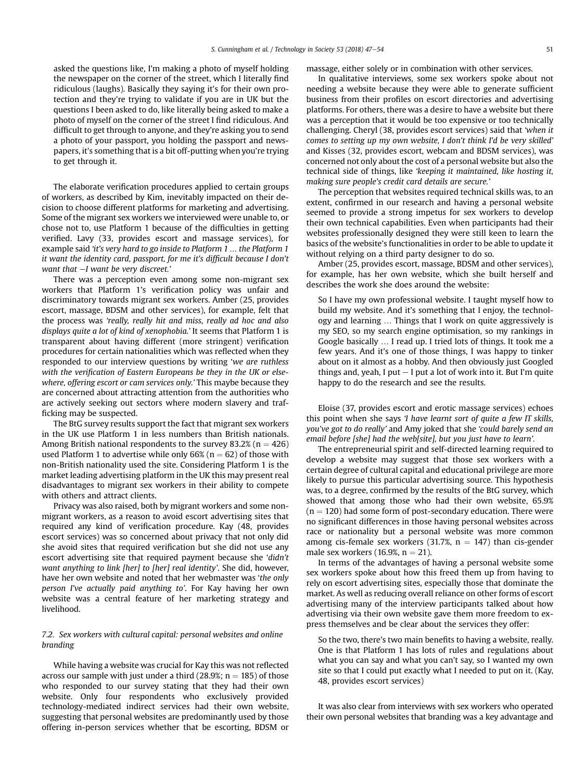asked the questions like, I'm making a photo of myself holding the newspaper on the corner of the street, which I literally find ridiculous (laughs). Basically they saying it's for their own protection and they're trying to validate if you are in UK but the questions I been asked to do, like literally being asked to make a photo of myself on the corner of the street I find ridiculous. And difficult to get through to anyone, and they're asking you to send a photo of your passport, you holding the passport and newspapers, it's something that is a bit off-putting when you're trying to get through it.

The elaborate verification procedures applied to certain groups of workers, as described by Kim, inevitably impacted on their decision to choose different platforms for marketing and advertising. Some of the migrant sex workers we interviewed were unable to, or chose not to, use Platform 1 because of the difficulties in getting verified. Lavy (33, provides escort and massage services), for example said '*it's very hard to go inside to Platform 1* … *the Platform 1 it want the identity card, passport, for me it's dif*fi*cult because I don't want that*  $-I$  want be very discreet.'

There was a perception even among some non-migrant sex workers that Platform 1's verification policy was unfair and discriminatory towards migrant sex workers. Amber (25, provides escort, massage, BDSM and other services), for example, felt that the process was '*really, really hit and miss, really ad hoc and also displays quite a lot of kind of xenophobia.*' It seems that Platform 1 is transparent about having different (more stringent) verification procedures for certain nationalities which was reflected when they responded to our interview questions by writing '*we are ruthless with the veri*fi*cation of Eastern Europeans be they in the UK or elsewhere, offering escort or cam services only.*' This maybe because they are concerned about attracting attention from the authorities who are actively seeking out sectors where modern slavery and trafficking may be suspected.

The BtG survey results support the fact that migrant sex workers in the UK use Platform 1 in less numbers than British nationals. Among British national respondents to the survey 83.2% ( $n = 426$ ) used Platform 1 to advertise while only  $66\%$  (n = 62) of those with non-British nationality used the site. Considering Platform 1 is the market leading advertising platform in the UK this may present real disadvantages to migrant sex workers in their ability to compete with others and attract clients.

Privacy was also raised, both by migrant workers and some nonmigrant workers, as a reason to avoid escort advertising sites that required any kind of verification procedure. Kay (48, provides escort services) was so concerned about privacy that not only did she avoid sites that required verification but she did not use any escort advertising site that required payment because she '*didn't want anything to link [her] to [her] real identity*'. She did, however, have her own website and noted that her webmaster was '*the only person I've actually paid anything to*'. For Kay having her own website was a central feature of her marketing strategy and livelihood.

# *7.2. Sex workers with cultural capital: personal websites and online branding*

While having a website was crucial for Kay this was not reflected across our sample with just under a third (28.9%;  $n = 185$ ) of those who responded to our survey stating that they had their own website. Only four respondents who exclusively provided technology-mediated indirect services had their own website, suggesting that personal websites are predominantly used by those offering in-person services whether that be escorting, BDSM or massage, either solely or in combination with other services.

In qualitative interviews, some sex workers spoke about not needing a website because they were able to generate sufficient business from their profiles on escort directories and advertising platforms. For others, there was a desire to have a website but there was a perception that it would be too expensive or too technically challenging. Cheryl (38, provides escort services) said that '*when it comes to setting up my own website, I don't think I'd be very skilled*' and Kisses (32, provides escort, webcam and BDSM services), was concerned not only about the cost of a personal website but also the technical side of things, like '*keeping it maintained, like hosting it, making sure people's credit card details are secure.*'

The perception that websites required technical skills was, to an extent, confirmed in our research and having a personal website seemed to provide a strong impetus for sex workers to develop their own technical capabilities. Even when participants had their websites professionally designed they were still keen to learn the basics of the website's functionalities in order to be able to update it without relying on a third party designer to do so.

Amber (25, provides escort, massage, BDSM and other services), for example, has her own website, which she built herself and describes the work she does around the website:

So I have my own professional website. I taught myself how to build my website. And it's something that I enjoy, the technology and learning … Things that I work on quite aggressively is my SEO, so my search engine optimisation, so my rankings in Google basically … I read up. I tried lots of things. It took me a few years. And it's one of those things, I was happy to tinker about on it almost as a hobby. And then obviously just Googled things and, yeah, I put  $-$  I put a lot of work into it. But I'm quite happy to do the research and see the results.

Eloise (37, provides escort and erotic massage services) echoes this point when she says '*I have learnt sort of quite a few IT skills, you've got to do really*' and Amy joked that she '*could barely send an email before [she] had the web[site], but you just have to learn*'*.*

The entrepreneurial spirit and self-directed learning required to develop a website may suggest that those sex workers with a certain degree of cultural capital and educational privilege are more likely to pursue this particular advertising source. This hypothesis was, to a degree, confirmed by the results of the BtG survey, which showed that among those who had their own website, 65.9%  $(n = 120)$  had some form of post-secondary education. There were no significant differences in those having personal websites across race or nationality but a personal website was more common among cis-female sex workers (31.7%,  $n = 147$ ) than cis-gender male sex workers (16.9%,  $n = 21$ ).

In terms of the advantages of having a personal website some sex workers spoke about how this freed them up from having to rely on escort advertising sites, especially those that dominate the market. As well as reducing overall reliance on other forms of escort advertising many of the interview participants talked about how advertising via their own website gave them more freedom to express themselves and be clear about the services they offer:

So the two, there's two main benefits to having a website, really. One is that Platform 1 has lots of rules and regulations about what you can say and what you can't say, so I wanted my own site so that I could put exactly what I needed to put on it. (Kay, 48, provides escort services)

It was also clear from interviews with sex workers who operated their own personal websites that branding was a key advantage and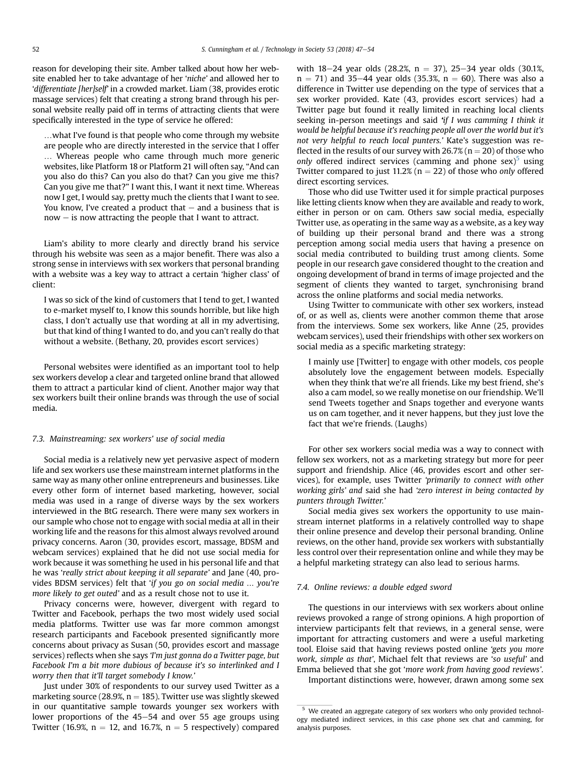reason for developing their site. Amber talked about how her website enabled her to take advantage of her '*niche*' and allowed her to '*differentiate [her]self*' in a crowded market. Liam (38, provides erotic massage services) felt that creating a strong brand through his personal website really paid off in terms of attracting clients that were specifically interested in the type of service he offered:

…what I've found is that people who come through my website are people who are directly interested in the service that I offer … Whereas people who came through much more generic websites, like Platform 18 or Platform 21 will often say, "And can you also do this? Can you also do that? Can you give me this? Can you give me that?" I want this, I want it next time. Whereas now I get, I would say, pretty much the clients that I want to see. You know, I've created a product that  $-$  and a business that is  $now - is now attracting the people that I want to attract.$ 

Liam's ability to more clearly and directly brand his service through his website was seen as a major benefit. There was also a strong sense in interviews with sex workers that personal branding with a website was a key way to attract a certain 'higher class' of client:

I was so sick of the kind of customers that I tend to get, I wanted to e-market myself to, I know this sounds horrible, but like high class, I don't actually use that wording at all in my advertising, but that kind of thing I wanted to do, and you can't really do that without a website. (Bethany, 20, provides escort services)

Personal websites were identified as an important tool to help sex workers develop a clear and targeted online brand that allowed them to attract a particular kind of client. Another major way that sex workers built their online brands was through the use of social media.

#### *7.3. Mainstreaming: sex workers' use of social media*

Social media is a relatively new yet pervasive aspect of modern life and sex workers use these mainstream internet platforms in the same way as many other online entrepreneurs and businesses. Like every other form of internet based marketing, however, social media was used in a range of diverse ways by the sex workers interviewed in the BtG research. There were many sex workers in our sample who chose not to engage with social media at all in their working life and the reasons for this almost always revolved around privacy concerns. Aaron (30, provides escort, massage, BDSM and webcam services) explained that he did not use social media for work because it was something he used in his personal life and that he was '*really strict about keeping it all separate*' and Jane (40, provides BDSM services) felt that '*if you go on social media* … *you're more likely to get outed*' and as a result chose not to use it.

Privacy concerns were, however, divergent with regard to Twitter and Facebook, perhaps the two most widely used social media platforms. Twitter use was far more common amongst research participants and Facebook presented significantly more concerns about privacy as Susan (50, provides escort and massage services) reflects when she says '*I'm just gonna do a Twitter page, but Facebook I'm a bit more dubious of because it's so interlinked and I worry then that it'll target somebody I know.*'

Just under 30% of respondents to our survey used Twitter as a marketing source (28.9%,  $n = 185$ ). Twitter use was slightly skewed in our quantitative sample towards younger sex workers with lower proportions of the  $45-54$  and over 55 age groups using Twitter (16.9%,  $n = 12$ , and 16.7%,  $n = 5$  respectively) compared with  $18-24$  year olds (28.2%, n = 37), 25-34 year olds (30.1%,  $n = 71$ ) and 35–44 year olds (35.3%,  $n = 60$ ). There was also a difference in Twitter use depending on the type of services that a sex worker provided. Kate (43, provides escort services) had a Twitter page but found it really limited in reaching local clients seeking in-person meetings and said '*if I was camming I think it would be helpful because it's reaching people all over the world but it's not very helpful to reach local punters.*' Kate's suggestion was reflected in the results of our survey with  $26.7\%$  (n = 20) of those who only offered indirect services (camming and phone sex)<sup>5</sup> using Twitter compared to just 11.2%  $(n = 22)$  of those who *only* offered direct escorting services.

Those who did use Twitter used it for simple practical purposes like letting clients know when they are available and ready to work, either in person or on cam. Others saw social media, especially Twitter use, as operating in the same way as a website, as a key way of building up their personal brand and there was a strong perception among social media users that having a presence on social media contributed to building trust among clients. Some people in our research gave considered thought to the creation and ongoing development of brand in terms of image projected and the segment of clients they wanted to target, synchronising brand across the online platforms and social media networks.

Using Twitter to communicate with other sex workers, instead of, or as well as, clients were another common theme that arose from the interviews. Some sex workers, like Anne (25, provides webcam services), used their friendships with other sex workers on social media as a specific marketing strategy:

I mainly use [Twitter] to engage with other models, cos people absolutely love the engagement between models. Especially when they think that we're all friends. Like my best friend, she's also a cam model, so we really monetise on our friendship. We'll send Tweets together and Snaps together and everyone wants us on cam together, and it never happens, but they just love the fact that we're friends. (Laughs)

For other sex workers social media was a way to connect with fellow sex workers, not as a marketing strategy but more for peer support and friendship. Alice (46, provides escort and other services), for example, uses Twitter '*primarily to connect with other working girls*' *and* said she had '*zero interest in being contacted by punters through Twitter.*'

Social media gives sex workers the opportunity to use mainstream internet platforms in a relatively controlled way to shape their online presence and develop their personal branding. Online reviews, on the other hand, provide sex workers with substantially less control over their representation online and while they may be a helpful marketing strategy can also lead to serious harms.

#### *7.4. Online reviews: a double edged sword*

The questions in our interviews with sex workers about online reviews provoked a range of strong opinions. A high proportion of interview participants felt that reviews, in a general sense, were important for attracting customers and were a useful marketing tool. Eloise said that having reviews posted online '*gets you more work, simple as that*', Michael felt that reviews are '*so useful*' and Emma believed that she got '*more work from having good reviews*'.

Important distinctions were, however, drawn among some sex

<sup>&</sup>lt;sup>5</sup> We created an aggregate category of sex workers who only provided technology mediated indirect services, in this case phone sex chat and camming, for analysis purposes.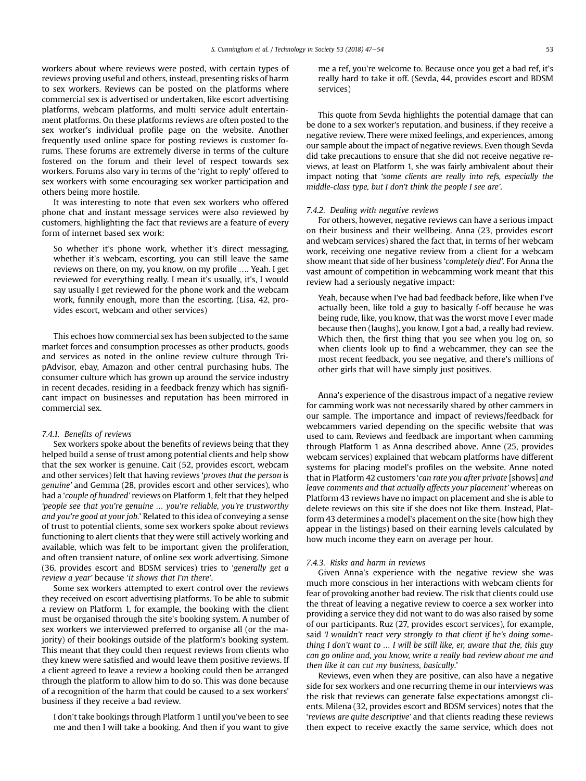workers about where reviews were posted, with certain types of reviews proving useful and others, instead, presenting risks of harm to sex workers. Reviews can be posted on the platforms where commercial sex is advertised or undertaken, like escort advertising platforms, webcam platforms, and multi service adult entertainment platforms. On these platforms reviews are often posted to the sex worker's individual profile page on the website. Another frequently used online space for posting reviews is customer forums. These forums are extremely diverse in terms of the culture fostered on the forum and their level of respect towards sex workers. Forums also vary in terms of the 'right to reply' offered to sex workers with some encouraging sex worker participation and others being more hostile.

It was interesting to note that even sex workers who offered phone chat and instant message services were also reviewed by customers, highlighting the fact that reviews are a feature of every form of internet based sex work:

So whether it's phone work, whether it's direct messaging, whether it's webcam, escorting, you can still leave the same reviews on there, on my, you know, on my profile …. Yeah. I get reviewed for everything really. I mean it's usually, it's, I would say usually I get reviewed for the phone work and the webcam work, funnily enough, more than the escorting. (Lisa, 42, provides escort, webcam and other services)

This echoes how commercial sex has been subjected to the same market forces and consumption processes as other products, goods and services as noted in the online review culture through TripAdvisor, ebay, Amazon and other central purchasing hubs. The consumer culture which has grown up around the service industry in recent decades, residing in a feedback frenzy which has significant impact on businesses and reputation has been mirrored in commercial sex.

#### *7.4.1. Bene*fi*ts of reviews*

Sex workers spoke about the benefits of reviews being that they helped build a sense of trust among potential clients and help show that the sex worker is genuine. Cait (52, provides escort, webcam and other services) felt that having reviews '*proves that the person is genuine*' and Gemma (28, provides escort and other services), who had a '*couple of hundred*' reviews on Platform 1, felt that they helped '*people see that you're genuine* … *you're reliable, you're trustworthy and you're good at your job.*' Related to this idea of conveying a sense of trust to potential clients, some sex workers spoke about reviews functioning to alert clients that they were still actively working and available, which was felt to be important given the proliferation, and often transient nature, of online sex work advertising. Simone (36, provides escort and BDSM services) tries to '*generally get a review a year*' because '*it shows that I'm there*'.

Some sex workers attempted to exert control over the reviews they received on escort advertising platforms. To be able to submit a review on Platform 1, for example, the booking with the client must be organised through the site's booking system. A number of sex workers we interviewed preferred to organise all (or the majority) of their bookings outside of the platform's booking system. This meant that they could then request reviews from clients who they knew were satisfied and would leave them positive reviews. If a client agreed to leave a review a booking could then be arranged through the platform to allow him to do so. This was done because of a recognition of the harm that could be caused to a sex workers' business if they receive a bad review.

I don't take bookings through Platform 1 until you've been to see me and then I will take a booking. And then if you want to give me a ref, you're welcome to. Because once you get a bad ref, it's really hard to take it off. (Sevda, 44, provides escort and BDSM services)

This quote from Sevda highlights the potential damage that can be done to a sex worker's reputation, and business, if they receive a negative review. There were mixed feelings, and experiences, among our sample about the impact of negative reviews. Even though Sevda did take precautions to ensure that she did not receive negative reviews, at least on Platform 1, she was fairly ambivalent about their impact noting that '*some clients are really into refs, especially the middle-class type, but I don't think the people I see are*'.

#### *7.4.2. Dealing with negative reviews*

For others, however, negative reviews can have a serious impact on their business and their wellbeing. Anna (23, provides escort and webcam services) shared the fact that, in terms of her webcam work, receiving one negative review from a client for a webcam show meant that side of her business '*completely died*'. For Anna the vast amount of competition in webcamming work meant that this review had a seriously negative impact:

Yeah, because when I've had bad feedback before, like when I've actually been, like told a guy to basically f-off because he was being rude, like, you know, that was the worst move I ever made because then (laughs), you know, I got a bad, a really bad review. Which then, the first thing that you see when you log on, so when clients look up to find a webcammer, they can see the most recent feedback, you see negative, and there's millions of other girls that will have simply just positives.

Anna's experience of the disastrous impact of a negative review for camming work was not necessarily shared by other cammers in our sample. The importance and impact of reviews/feedback for webcammers varied depending on the specific website that was used to cam. Reviews and feedback are important when camming through Platform 1 as Anna described above. Anne (25, provides webcam services) explained that webcam platforms have different systems for placing model's profiles on the website. Anne noted that in Platform 42 customers '*can rate you after private* [shows] *and leave comments and that actually affects your placement*' whereas on Platform 43 reviews have no impact on placement and she is able to delete reviews on this site if she does not like them. Instead, Platform 43 determines a model's placement on the site (how high they appear in the listings) based on their earning levels calculated by how much income they earn on average per hour.

#### *7.4.3. Risks and harm in reviews*

Given Anna's experience with the negative review she was much more conscious in her interactions with webcam clients for fear of provoking another bad review. The risk that clients could use the threat of leaving a negative review to coerce a sex worker into providing a service they did not want to do was also raised by some of our participants. Ruz (27, provides escort services), for example, said '*I wouldn't react very strongly to that client if he's doing something I don't want to* … *I will be still like, er, aware that the, this guy can go online and, you know, write a really bad review about me and then like it can cut my business, basically*.'

Reviews, even when they are positive, can also have a negative side for sex workers and one recurring theme in our interviews was the risk that reviews can generate false expectations amongst clients. Milena (32, provides escort and BDSM services) notes that the '*reviews are quite descriptive*' and that clients reading these reviews then expect to receive exactly the same service, which does not